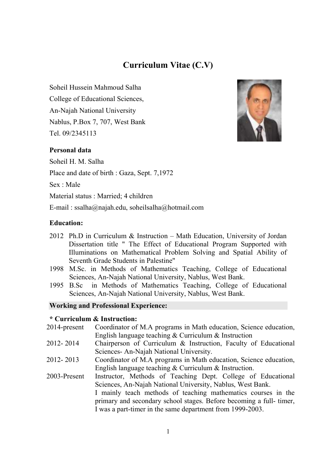# **Curriculum Vitae (C.V)**

Soheil Hussein Mahmoud Salha College of Educational Sciences, An-Najah National University Nablus, P.Box 7, 707, West Bank Tel. 09/2345113



## **Personal data**

Soheil H. M. Salha Place and date of birth : Gaza, Sept. 7,1972 Sex : Male Material status : Married; 4 children E-mail : ssalha@najah.edu, soheilsalha@hotmail.com

### **Education:**

- 2012 Ph.D in Curriculum & Instruction Math Education, University of Jordan Dissertation title " The Effect of Educational Program Supported with Illuminations on Mathematical Problem Solving and Spatial Ability of Seventh Grade Students in Palestine"
- 1998 M.Sc. in Methods of Mathematics Teaching, College of Educational Sciences, An-Najah National University, Nablus, West Bank.
- 1995 B.Sc in Methods of Mathematics Teaching, College of Educational Sciences, An-Najah National University, Nablus, West Bank.

#### **Working and Professional Experience:**

### **\* Curriculum & Instruction:**

| 2014-present | Coordinator of M.A programs in Math education, Science education,  |
|--------------|--------------------------------------------------------------------|
|              | English language teaching $&$ Curriculum $&$ Instruction           |
| 2012-2014    | Chairperson of Curriculum & Instruction, Faculty of Educational    |
|              | Sciences-An-Najah National University.                             |
| 2012-2013    | Coordinator of M.A programs in Math education, Science education,  |
|              | English language teaching $&$ Curriculum $&$ Instruction.          |
| 2003-Present | Instructor, Methods of Teaching Dept. College of Educational       |
|              | Sciences, An-Najah National University, Nablus, West Bank.         |
|              | I mainly teach methods of teaching mathematics courses in the      |
|              | primary and secondary school stages. Before becoming a full-timer, |
|              | I was a part-timer in the same department from 1999-2003.          |
|              |                                                                    |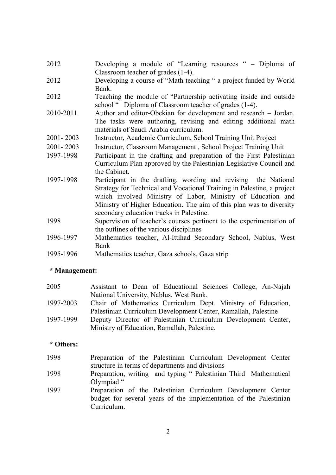- 2012 Developing a module of "Learning resources " Diploma of Classroom teacher of grades (1-4).
- 2012 Developing a course of "Math teaching " a project funded by World Bank.
- 2012 Teaching the module of "Partnership activating inside and outside school " Diploma of Classroom teacher of grades (1-4).
- 2010-2011 Author and editor-Obekian for development and research Jordan. The tasks were authoring, revising and editing additional math materials of Saudi Arabia curriculum.
- 2001- 2003 Instructor, Academic Curriculum, School Training Unit Project
- 2001- 2003 Instructor, Classroom Management , School Project Training Unit
- 1997-1998 Participant in the drafting and preparation of the First Palestinian Curriculum Plan approved by the Palestinian Legislative Council and the Cabinet.
- 1997-1998 Participant in the drafting, wording and revising the National Strategy for Technical and Vocational Training in Palestine, a project which involved Ministry of Labor, Ministry of Education and Ministry of Higher Education. The aim of this plan was to diversity secondary education tracks in Palestine.
- 1998 Supervision of teacher's courses pertinent to the experimentation of the outlines of the various disciplines
- 1996-1997 Mathematics teacher, Al-Ittihad Secondary School, Nablus, West Bank
- 1995-1996 Mathematics teacher, Gaza schools, Gaza strip

#### **\* Management:**

- 2005 Assistant to Dean of Educational Sciences College, An-Najah National University, Nablus, West Bank. 1997-2003 Chair of Mathematics Curriculum Dept. Ministry of Education,
- Palestinian Curriculum Development Center, Ramallah, Palestine
- 1997-1999 Deputy Director of Palestinian Curriculum Development Center, Ministry of Education, Ramallah, Palestine.

## **\* Others:**

- 1998 Preparation of the Palestinian Curriculum Development Center structure in terms of departments and divisions
- 1998 Preparation, writing and typing " Palestinian Third Mathematical Olympiad "
- 1997 Preparation of the Palestinian Curriculum Development Center budget for several years of the implementation of the Palestinian Curriculum.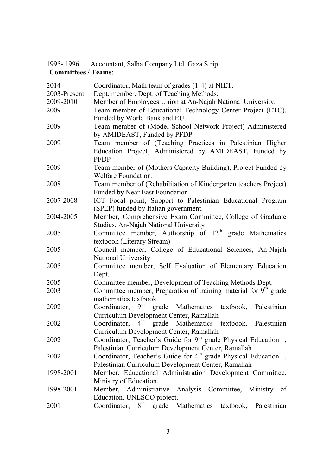|                            | 1995-1996 Accountant, Salha Company Ltd. Gaza Strip |  |
|----------------------------|-----------------------------------------------------|--|
| <b>Committees / Teams:</b> |                                                     |  |

| 2014         | Coordinator, Math team of grades (1-4) at NIET.                               |  |
|--------------|-------------------------------------------------------------------------------|--|
| 2003-Present | Dept. member, Dept. of Teaching Methods.                                      |  |
| 2009-2010    | Member of Employees Union at An-Najah National University.                    |  |
| 2009         | Team member of Educational Technology Center Project (ETC),                   |  |
|              | Funded by World Bank and EU.                                                  |  |
| 2009         | Team member of (Model School Network Project) Administered                    |  |
|              | by AMIDEAST, Funded by PFDP                                                   |  |
| 2009         | Team member of (Teaching Practices in Palestinian Higher                      |  |
|              | Education Project) Administered by AMIDEAST, Funded by                        |  |
|              | <b>PFDP</b>                                                                   |  |
| 2009         | Team member of (Mothers Capacity Building), Project Funded by                 |  |
|              | Welfare Foundation.                                                           |  |
| 2008         | Team member of (Rehabilitation of Kindergarten teachers Project)              |  |
|              | Funded by Near East Foundation.                                               |  |
| 2007-2008    | ICT Focal point, Support to Palestinian Educational Program                   |  |
|              | (SPEP) funded by Italian government.                                          |  |
| 2004-2005    | Member, Comprehensive Exam Committee, College of Graduate                     |  |
|              | Studies. An-Najah National University                                         |  |
| 2005         | Committee member, Authorship of $12th$ grade Mathematics                      |  |
|              | textbook (Literary Stream)                                                    |  |
| 2005         | Council member, College of Educational Sciences, An-Najah                     |  |
|              | <b>National University</b>                                                    |  |
| 2005         | Committee member, Self Evaluation of Elementary Education                     |  |
|              | Dept.                                                                         |  |
| 2005         | Committee member, Development of Teaching Methods Dept.                       |  |
| 2003         | Committee member, Preparation of training material for 9 <sup>th</sup> grade  |  |
|              | mathematics textbook.                                                         |  |
| 2002         | 9 <sup>th</sup><br>Coordinator,<br>grade Mathematics textbook,<br>Palestinian |  |
|              | Curriculum Development Center, Ramallah                                       |  |
| 2002         | Coordinator, $4^{\text{th}}$<br>grade Mathematics<br>textbook, Palestinian    |  |
|              | Curriculum Development Center, Ramallah                                       |  |
| 2002         | Coordinator, Teacher's Guide for $9th$ grade Physical Education,              |  |
|              | Palestinian Curriculum Development Center, Ramallah                           |  |
| 2002         | Coordinator, Teacher's Guide for 4 <sup>th</sup> grade Physical Education,    |  |
|              | Palestinian Curriculum Development Center, Ramallah                           |  |
| 1998-2001    | Member, Educational Administration Development Committee,                     |  |
|              | Ministry of Education.                                                        |  |
| 1998-2001    | Member, Administrative Analysis Committee, Ministry of                        |  |
|              | Education. UNESCO project.                                                    |  |
| 2001         | $8^{\text{th}}$<br>Coordinator,<br>grade Mathematics<br>textbook, Palestinian |  |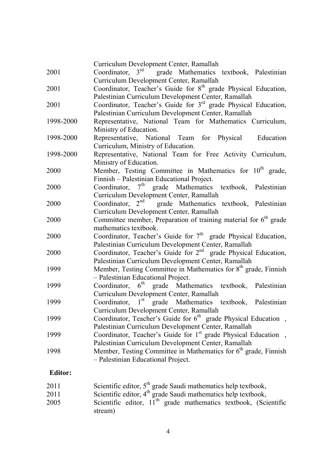|           | Curriculum Development Center, Ramallah                                     |
|-----------|-----------------------------------------------------------------------------|
| 2001      | Coordinator, 3rd grade Mathematics textbook, Palestinian                    |
|           | Curriculum Development Center, Ramallah                                     |
| 2001      | Coordinator, Teacher's Guide for 8 <sup>th</sup> grade Physical Education,  |
|           | Palestinian Curriculum Development Center, Ramallah                         |
| 2001      | Coordinator, Teacher's Guide for $3rd$ grade Physical Education,            |
|           | Palestinian Curriculum Development Center, Ramallah                         |
| 1998-2000 | Representative, National Team for Mathematics Curriculum,                   |
|           | Ministry of Education.                                                      |
| 1998-2000 | Representative, National Team for Physical Education                        |
|           | Curriculum, Ministry of Education.                                          |
| 1998-2000 | Representative, National Team for Free Activity Curriculum,                 |
|           | Ministry of Education.                                                      |
| 2000      | Member, Testing Committee in Mathematics for 10 <sup>th</sup> grade,        |
|           | Finnish – Palestinian Educational Project.                                  |
| 2000      | Coordinator, 7 <sup>th</sup> grade Mathematics textbook, Palestinian        |
|           | Curriculum Development Center, Ramallah                                     |
| 2000      | Coordinator, 2 <sup>nd</sup> grade Mathematics textbook, Palestinian        |
|           | Curriculum Development Center, Ramallah                                     |
| 2000      | Committee member, Preparation of training material for $6th$ grade          |
|           | mathematics textbook.                                                       |
| 2000      | Coordinator, Teacher's Guide for 7 <sup>th</sup> grade Physical Education,  |
|           | Palestinian Curriculum Development Center, Ramallah                         |
| 2000      | Coordinator, Teacher's Guide for 2 <sup>nd</sup> grade Physical Education,  |
|           | Palestinian Curriculum Development Center, Ramallah                         |
| 1999      | Member, Testing Committee in Mathematics for 8 <sup>th</sup> grade, Finnish |
|           | - Palestinian Educational Project.                                          |
| 1999      | Coordinator, 6 <sup>th</sup> grade Mathematics textbook, Palestinian        |
|           | Curriculum Development Center, Ramallah                                     |
| 1999      | Coordinator, 1 <sup>st</sup> grade Mathematics textbook, Palestinian        |
|           | Curriculum Development Center, Ramallah                                     |
| 1999      | Coordinator, Teacher's Guide for $6th$ grade Physical Education,            |
|           | Palestinian Curriculum Development Center, Ramallah                         |
| 1999      | Coordinator, Teacher's Guide for 1 <sup>st</sup> grade Physical Education,  |
|           | Palestinian Curriculum Development Center, Ramallah                         |
| 1998      | Member, Testing Committee in Mathematics for 6 <sup>th</sup> grade, Finnish |
|           | - Palestinian Educational Project.                                          |
|           |                                                                             |

# **Editor:**

| 2011 | Scientific editor, $5th$ grade Saudi mathematics help textbook,   |
|------|-------------------------------------------------------------------|
| 2011 | Scientific editor, $4th$ grade Saudi mathematics help textbook,   |
| 2005 | Scientific editor, $11th$ grade mathematics textbook, (Scientific |
|      | stream)                                                           |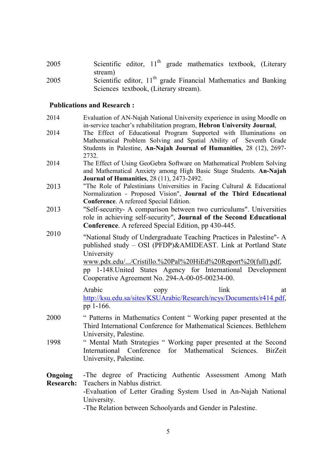2005 Scientific editor, 11<sup>th</sup> grade mathematics textbook, (Literary stream)

2005 Scientific editor,  $11<sup>th</sup>$  grade Financial Mathematics and Banking Sciences textbook, (Literary stream).

#### **Publications and Research :**

- 2014 Evaluation of AN-Najah National University experience in using Moodle on in-service teacher's rehabilitation program, **Hebron University Journal**,
- 2014 The Effect of Educational Program Supported with Illuminations on Mathematical Problem Solving and Spatial Ability of Seventh Grade Students in Palestine, **An-Najah Journal of Humanities**, 28 (12), 2697- 2732.
- 2014 The Effect of Using GeoGebra Software on Mathematical Problem Solving and Mathematical Anxiety among High Basic Stage Students. **An-Najah Journal of Humanities**, 28 (11), 2473-2492.
- 2013 "The Role of Palestinians Universities in Facing Cultural & Educational Normalization - Proposed Vision", **Journal of the Third Educational Conference**. A refereed Special Edition.
- 2013 "Self-security- A comparison between two curriculums". Universities role in achieving self-security", **Journal of the Second Educational Conference**. A refereed Special Edition, pp 430-445.
- 2010 "National Study of Undergraduate Teaching Practices in Palestine"- A published study – OSI (PFDP)&AMIDEAST. Link at Portland State University www.pdx.edu/.../Cristillo.%20Pal%20HiEd%20Report%20(full).pdf,

pp 1-148.United States Agency for International Development Cooperative Agreement No. 294-A-00-05-00234-00.

Arabic copy link at http://ksu.edu.sa/sites/KSUArabic/Research/ncys/Documents/r414.pdf, pp 1-166.

- 2000 " Patterns in Mathematics Content " Working paper presented at the Third International Conference for Mathematical Sciences. Bethlehem University, Palestine.
- 1998 " Mental Math Strategies " Working paper presented at the Second International Conference for Mathematical Sciences. BirZeit University, Palestine.

**Ongoing Research:** -The degree of Practicing Authentic Assessment Among Math Teachers in Nablus district. -Evaluation of Letter Grading System Used in An-Najah National University. -The Relation between Schoolyards and Gender in Palestine.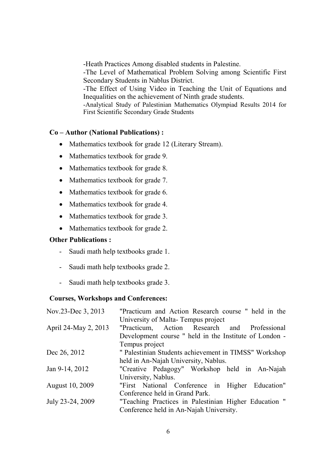-Heath Practices Among disabled students in Palestine.

-The Level of Mathematical Problem Solving among Scientific First Secondary Students in Nablus District.

-The Effect of Using Video in Teaching the Unit of Equations and Inequalities on the achievement of Ninth grade students.

-Analytical Study of Palestinian Mathematics Olympiad Results 2014 for First Scientific Secondary Grade Students

## **Co – Author (National Publications) :**

- Mathematics textbook for grade 12 (Literary Stream).
- Mathematics textbook for grade 9.
- Mathematics textbook for grade 8.
- Mathematics textbook for grade 7.
- Mathematics textbook for grade 6.
- Mathematics textbook for grade 4.
- Mathematics textbook for grade 3.
- Mathematics textbook for grade 2.

### **Other Publications :**

- Saudi math help textbooks grade 1.
- Saudi math help textbooks grade 2.
- Saudi math help textbooks grade 3.

#### **Courses, Workshops and Conferences:**

| Nov.23-Dec 3, 2013     | "Practicum and Action Research course " held in the    |
|------------------------|--------------------------------------------------------|
|                        | University of Malta-Tempus project                     |
| April 24-May 2, 2013   | "Practicum, Action Research and Professional           |
|                        | Development course " held in the Institute of London - |
|                        | Tempus project                                         |
| Dec 26, 2012           | " Palestinian Students achievement in TIMSS" Workshop  |
|                        | held in An-Najah University, Nablus.                   |
| Jan 9-14, 2012         | "Creative Pedagogy" Workshop held in An-Najah          |
|                        | University, Nablus.                                    |
| <b>August 10, 2009</b> | "First National Conference in Higher Education"        |
|                        | Conference held in Grand Park.                         |
| July 23-24, 2009       | "Teaching Practices in Palestinian Higher Education"   |
|                        | Conference held in An-Najah University.                |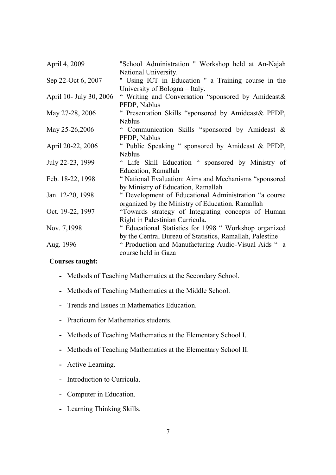| April 4, 2009           | "School Administration " Workshop held at An-Najah       |
|-------------------------|----------------------------------------------------------|
|                         | National University.                                     |
| Sep 22-Oct 6, 2007      | " Using ICT in Education " a Training course in the      |
|                         | University of Bologna - Italy.                           |
| April 10- July 30, 2006 | " Writing and Conversation "sponsored by Amideast&       |
|                         | PFDP, Nablus                                             |
| May 27-28, 2006         | " Presentation Skills "sponsored by Amideast& PFDP,      |
|                         | <b>Nablus</b>                                            |
| May 25-26,2006          | " Communication Skills "sponsored by Amideast &          |
|                         | PFDP, Nablus                                             |
| April 20-22, 2006       | " Public Speaking " sponsored by Amideast & PFDP,        |
|                         | <b>Nablus</b>                                            |
| July 22-23, 1999        | " Life Skill Education " sponsored by Ministry of        |
|                         | Education, Ramallah                                      |
| Feb. 18-22, 1998        | "National Evaluation: Aims and Mechanisms "sponsored"    |
|                         | by Ministry of Education, Ramallah                       |
| Jan. 12-20, 1998        | " Development of Educational Administration "a course    |
|                         | organized by the Ministry of Education. Ramallah         |
| Oct. 19-22, 1997        | "Towards strategy of Integrating concepts of Human       |
|                         | Right in Palestinian Curricula.                          |
| Nov. 7,1998             | " Educational Statistics for 1998 " Workshop organized   |
|                         | by the Central Bureau of Statistics, Ramallah, Palestine |
| Aug. 1996               | " Production and Manufacturing Audio-Visual Aids "a      |
|                         | course held in Gaza                                      |

### **Courses taught:**

- **-** Methods of Teaching Mathematics at the Secondary School.
- **-** Methods of Teaching Mathematics at the Middle School.
- **-** Trends and Issues in Mathematics Education.
- **-** Practicum for Mathematics students.
- **-** Methods of Teaching Mathematics at the Elementary School I.
- **-** Methods of Teaching Mathematics at the Elementary School II.
- **-** Active Learning.
- **-** Introduction to Curricula.
- **-** Computer in Education.
- **-** Learning Thinking Skills.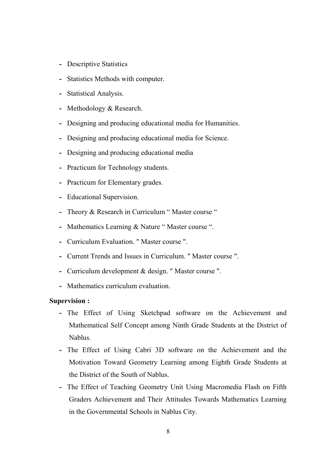- **-** Descriptive Statistics
- **-** Statistics Methods with computer.
- **-** Statistical Analysis.
- **-** Methodology & Research.
- **-** Designing and producing educational media for Humanities.
- **-** Designing and producing educational media for Science.
- **-** Designing and producing educational media
- **-** Practicum for Technology students.
- **-** Practicum for Elementary grades.
- **-** Educational Supervision.
- **-** Theory & Research in Curriculum " Master course "
- **-** Mathematics Learning & Nature " Master course ".
- **-** Curriculum Evaluation. " Master course ".
- **-** Current Trends and Issues in Curriculum. " Master course ".
- **-** Curriculum development & design. " Master course ".
- **-** Mathematics curriculum evaluation.

#### **Supervision :**

- **-** The Effect of Using Sketchpad software on the Achievement and Mathematical Self Concept among Ninth Grade Students at the District of Nablus.
- **-** The Effect of Using Cabri 3D software on the Achievement and the Motivation Toward Geometry Learning among Eighth Grade Students at the District of the South of Nablus.
- **-** The Effect of Teaching Geometry Unit Using Macromedia Flash on Fifth Graders Achievement and Their Attitudes Towards Mathematics Learning in the Governmental Schools in Nablus City.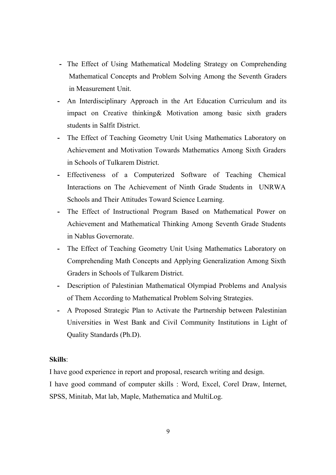- **-** The Effect of Using Mathematical Modeling Strategy on Comprehending Mathematical Concepts and Problem Solving Among the Seventh Graders in Measurement Unit.
- **-** An Interdisciplinary Approach in the Art Education Curriculum and its impact on Creative thinking& Motivation among basic sixth graders students in Salfit District.
- **-** The Effect of Teaching Geometry Unit Using Mathematics Laboratory on Achievement and Motivation Towards Mathematics Among Sixth Graders in Schools of Tulkarem District.
- **-** Effectiveness of a Computerized Software of Teaching Chemical Interactions on The Achievement of Ninth Grade Students in UNRWA Schools and Their Attitudes Toward Science Learning.
- **-** The Effect of Instructional Program Based on Mathematical Power on Achievement and Mathematical Thinking Among Seventh Grade Students in Nablus Governorate.
- **-** The Effect of Teaching Geometry Unit Using Mathematics Laboratory on Comprehending Math Concepts and Applying Generalization Among Sixth Graders in Schools of Tulkarem District.
- **-** Description of Palestinian Mathematical Olympiad Problems and Analysis of Them According to Mathematical Problem Solving Strategies.
- **-** A Proposed Strategic Plan to Activate the Partnership between Palestinian Universities in West Bank and Civil Community Institutions in Light of Quality Standards (Ph.D).

### **Skills**:

I have good experience in report and proposal, research writing and design.

I have good command of computer skills : Word, Excel, Corel Draw, Internet, SPSS, Minitab, Mat lab, Maple, Mathematica and MultiLog.